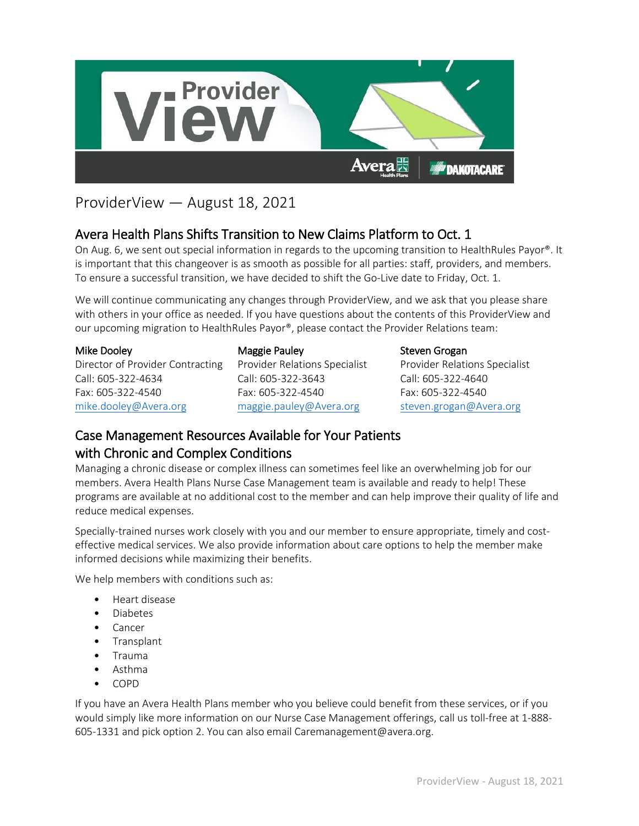

## ProviderView — August 18, 2021

## Avera Health Plans Shifts Transition to New Claims Platform to Oct. 1

On Aug. 6, we sent out special information in regards to the upcoming transition to HealthRules Payor®. It is important that this changeover is as smooth as possible for all parties: staff, providers, and members. To ensure a successful transition, we have decided to shift the Go-Live date to Friday, Oct. 1.

We will continue communicating any changes through ProviderView, and we ask that you please share with others in your office as needed. If you have questions about the contents of this ProviderView and our upcoming migration to HealthRules Payor®, please contact the Provider Relations team:

| Mike Dooley                      |
|----------------------------------|
| Director of Provider Contracting |
| Call: 605-322-4634               |
| Fax: 605-322-4540                |
| mike.dooley@Avera.org            |

Maggie Pauley Provider Relations Specialist Call: 605-322-3643 Fax: 605-322-4540 [maggie.pauley@Avera.org](mailto:maggie.pauley@Avera.org)

Steven Grogan Provider Relations Specialist Call: 605-322-4640 Fax: 605-322-4540 [steven.grogan@Avera.org](mailto:steven.grogan@Avera.org)

## Case Management Resources Available for Your Patients with Chronic and Complex Conditions

Managing a chronic disease or complex illness can sometimes feel like an overwhelming job for our members. Avera Health Plans Nurse Case Management team is available and ready to help! These programs are available at no additional cost to the member and can help improve their quality of life and reduce medical expenses.

Specially-trained nurses work closely with you and our member to ensure appropriate, timely and costeffective medical services. We also provide information about care options to help the member make informed decisions while maximizing their benefits.

We help members with conditions such as:

- Heart disease
- Diabetes
- Cancer
- Transplant
- Trauma
- Asthma
- COPD

If you have an Avera Health Plans member who you believe could benefit from these services, or if you would simply like more information on our Nurse Case Management offerings, call us toll-free at 1-888- 605-1331 and pick option 2. You can also email Caremanagement@avera.org.